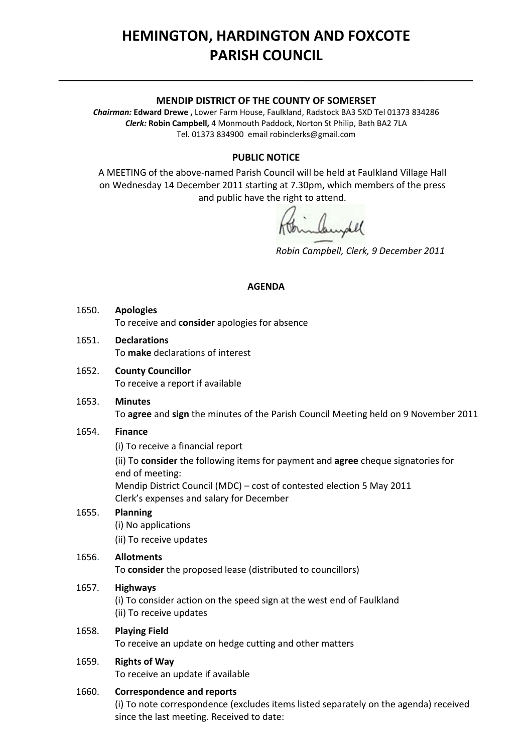# **HEMINGTON, HARDINGTON AND FOXCOTE PARISH COUNCIL**

#### **MENDIP DISTRICT OF THE COUNTY OF SOMERSET**

*Chairman:* **Edward Drewe ,** Lower Farm House, Faulkland, Radstock BA3 5XD Tel 01373 834286 *Clerk:* **Robin Campbell,** 4 Monmouth Paddock, Norton St Philip, Bath BA2 7LA Tel. 01373 834900 email [robinclerks@gmail.com](mailto:robinclerks@googlemail.com)

## **PUBLIC NOTICE**

A MEETING of the above‐named Parish Council will be held at Faulkland Village Hall on Wednesday 14 December 2011 starting at 7.30pm, which members of the press and public have the right to attend.

*Robin Campbell, Clerk, 9 December 2011*

#### **AGENDA**

- 1650. **Apologies** To receive and **consider** apologies for absence
- 1651. **Declarations** To **make** declarations of interest
- 1652. **County Councillor** To receive a report if available
- 1653. **Minutes** To **agree** and **sign** the minutes of the Parish Council Meeting held on 9 November 2011

## 1654. **Finance**

(i) To receive a financial report

 (ii) To **consider** the following items for payment and **agree** cheque signatories for end of meeting:

Mendip District Council (MDC) – cost of contested election 5 May 2011 Clerk's expenses and salary for December

# 1655. **Planning**

(i) No applications (ii) To receive updates

# 1656. **Allotments**

To **consider** the proposed lease (distributed to councillors)

## 1657. **Highways**

(i) To consider action on the speed sign at the west end of Faulkland (ii) To receive updates

## 1658. **Playing Field**

To receive an update on hedge cutting and other matters

## 1659. **Rights of Way**

To receive an update if available

## 1660. **Correspondence and reports**

(i) To note correspondence (excludes items listed separately on the agenda) received since the last meeting. Received to date: